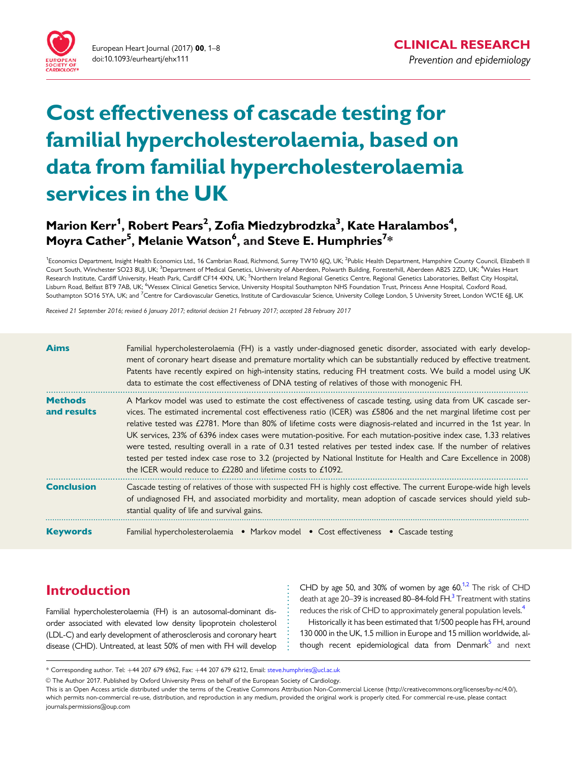# Cost effectiveness of cascade testing for familial hypercholesterolaemia, based on data from familial hypercholesterolaemia services in the UK

# Marion Kerr<sup>1</sup>, Robert Pears<sup>2</sup>, Zofia Miedzybrodzka<sup>3</sup>, Kate Haralambos<sup>4</sup>, Moyra Cather $^5$ , Melanie Watson $^6$ , and Steve E. Humphries $^{7\ast}$

<sup>1</sup>Economics Department, Insight Health Economics Ltd., 16 Cambrian Road, Richmond, Surrey TW10 6JQ, UK; <sup>2</sup>Public Health Department, Hampshire County Council, Elizabeth I Court South, Winchester SO23 8UJ, UK; <sup>3</sup>Department of Medical Genetics, University of Aberdeen, Polwarth Building, Foresterhill, Aberdeen AB25 2ZD, UK; <sup>4</sup>Wales Heart Research Institute, Cardiff University, Heath Park, Cardiff CF14 4XN, UK; <sup>5</sup>Northern Ireland Regional Genetics Centre, Regional Genetics Laboratories, Belfast City Hospital Lisburn Road, Belfast BT9 7AB, UK; <sup>6</sup>Wessex Clinical Genetics Service, University Hospital Southampton NHS Foundation Trust, Princess Anne Hospital, Coxford Road, Southampton SO16 5YA, UK; and <sup>7</sup>Centre for Cardiovascular Genetics, Institute of Cardiovascular Science, University College London, 5 University Street, London WC1E 6JJ, UK

Received 21 September 2016; revised 6 January 2017; editorial decision 21 February 2017; accepted 28 February 2017

| <b>Aims</b>                   | Familial hypercholesterolaemia (FH) is a vastly under-diagnosed genetic disorder, associated with early develop-<br>ment of coronary heart disease and premature mortality which can be substantially reduced by effective treatment.<br>Patents have recently expired on high-intensity statins, reducing FH treatment costs. We build a model using UK<br>data to estimate the cost effectiveness of DNA testing of relatives of those with monogenic FH.                                                                                                                                                                                                                                                                                                                                |
|-------------------------------|--------------------------------------------------------------------------------------------------------------------------------------------------------------------------------------------------------------------------------------------------------------------------------------------------------------------------------------------------------------------------------------------------------------------------------------------------------------------------------------------------------------------------------------------------------------------------------------------------------------------------------------------------------------------------------------------------------------------------------------------------------------------------------------------|
| <b>Methods</b><br>and results | A Markov model was used to estimate the cost effectiveness of cascade testing, using data from UK cascade ser-<br>vices. The estimated incremental cost effectiveness ratio (ICER) was £5806 and the net marginal lifetime cost per<br>relative tested was £2781. More than 80% of lifetime costs were diagnosis-related and incurred in the 1st year. In<br>UK services, 23% of 6396 index cases were mutation-positive. For each mutation-positive index case, 1.33 relatives<br>were tested, resulting overall in a rate of 0.31 tested relatives per tested index case. If the number of relatives<br>tested per tested index case rose to 3.2 (projected by National Institute for Health and Care Excellence in 2008)<br>the ICER would reduce to £2280 and lifetime costs to £1092. |
| <b>Conclusion</b>             | Cascade testing of relatives of those with suspected FH is highly cost effective. The current Europe-wide high levels<br>of undiagnosed FH, and associated morbidity and mortality, mean adoption of cascade services should yield sub-<br>stantial quality of life and survival gains.                                                                                                                                                                                                                                                                                                                                                                                                                                                                                                    |
| <b>Keywords</b>               | Familial hypercholesterolaemia • Markov model • Cost effectiveness • Cascade testing                                                                                                                                                                                                                                                                                                                                                                                                                                                                                                                                                                                                                                                                                                       |

# Introduction

Familial hypercholesterolaemia (FH) is an autosomal-dominant disorder associated with elevated low density lipoprotein cholesterol (LDL-C) and early development of atherosclerosis and coronary heart disease (CHD). Untreated, at least 50% of men with FH will develop CHD by age 50, and 30% of women by age  $60^{1,2}$  $60^{1,2}$  $60^{1,2}$  The risk of CHD death at age 20–39 is increased 80–84-fold FH.<sup>3</sup> Treatment with statins reduces the risk of CHD to approximately general population levels.<sup>[4](#page-6-0)</sup>

Historically it has been estimated that 1/500 people has FH, around 130 000 in the UK, 1.5 million in Europe and 15 million worldwide, al-though recent epidemiological data from Denmark<sup>[5](#page-6-0)</sup> and next

. . . . . . . . . . . . . . . . . .

<sup>\*</sup> Corresponding author. Tel: +44 207 679 6962, Fax: +44 207 679 6212, Email: [steve.humphries@ucl.ac.uk](mailto:)

V<sup>C</sup> The Author 2017. Published by Oxford University Press on behalf of the European Society of Cardiology.

This is an Open Access article distributed under the terms of the Creative Commons Attribution Non-Commercial License (http://creativecommons.org/licenses/by-nc/4.0/), which permits non-commercial re-use, distribution, and reproduction in any medium, provided the original work is properly cited. For commercial re-use, please contact journals.permissions@oup.com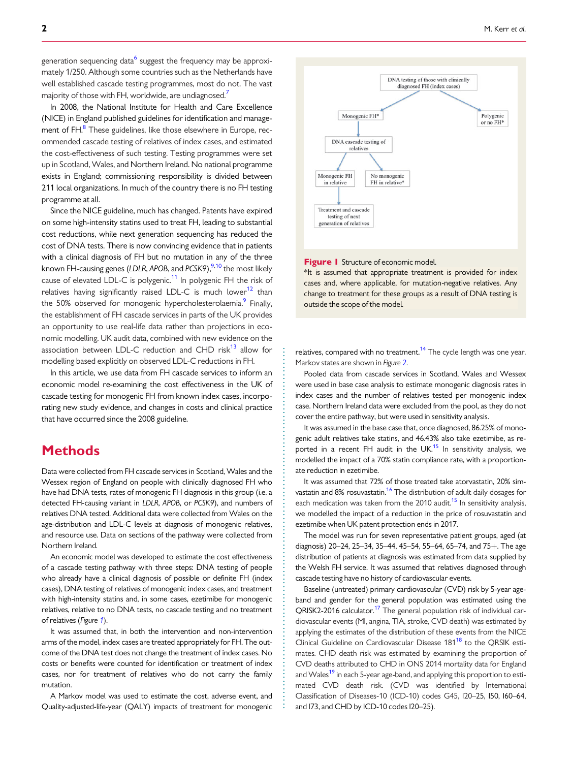generation sequencing data<sup>[6](#page-6-0)</sup> suggest the frequency may be approximately 1/250. Although some countries such as the Netherlands have well established cascade testing programmes, most do not. The vast majority of those with FH, worldwide, are undiagnosed.<sup>7</sup>

In 2008, the National Institute for Health and Care Excellence (NICE) in England published guidelines for identification and management of FH.<sup>8</sup> These guidelines, like those elsewhere in Europe, recommended cascade testing of relatives of index cases, and estimated the cost-effectiveness of such testing. Testing programmes were set up in Scotland, Wales, and Northern Ireland. No national programme exists in England; commissioning responsibility is divided between 211 local organizations. In much of the country there is no FH testing programme at all.

Since the NICE guideline, much has changed. Patents have expired on some high-intensity statins used to treat FH, leading to substantial cost reductions, while next generation sequencing has reduced the cost of DNA tests. There is now convincing evidence that in patients with a clinical diagnosis of FH but no mutation in any of the three known FH-causing genes (LDLR, APOB, and  $PCSK9$ ),  $9,10$  the most likely cause of elevated LDL-C is polygenic.<sup>11</sup> In polygenic FH the risk of relatives having significantly raised LDL-C is much lower $12$  than the 50% observed for monogenic hypercholesterolaemia.<sup>9</sup> Finally, the establishment of FH cascade services in parts of the UK provides an opportunity to use real-life data rather than projections in economic modelling. UK audit data, combined with new evidence on the association between LDL-C reduction and CHD risk $^{13}$  $^{13}$  $^{13}$  allow for modelling based explicitly on observed LDL-C reductions in FH.

In this article, we use data from FH cascade services to inform an economic model re-examining the cost effectiveness in the UK of cascade testing for monogenic FH from known index cases, incorporating new study evidence, and changes in costs and clinical practice that have occurred since the 2008 guideline.

## **Methods**

Data were collected from FH cascade services in Scotland, Wales and the Wessex region of England on people with clinically diagnosed FH who have had DNA tests, rates of monogenic FH diagnosis in this group (i.e. a detected FH-causing variant in LDLR, APOB, or PCSK9), and numbers of relatives DNA tested. Additional data were collected from Wales on the age-distribution and LDL-C levels at diagnosis of monogenic relatives, and resource use. Data on sections of the pathway were collected from Northern Ireland.

An economic model was developed to estimate the cost effectiveness of a cascade testing pathway with three steps: DNA testing of people who already have a clinical diagnosis of possible or definite FH (index cases), DNA testing of relatives of monogenic index cases, and treatment with high-intensity statins and, in some cases, ezetimibe for monogenic relatives, relative to no DNA tests, no cascade testing and no treatment of relatives (Figure 1).

It was assumed that, in both the intervention and non-intervention arms of the model, index cases are treated appropriately for FH. The outcome of the DNA test does not change the treatment of index cases. No costs or benefits were counted for identification or treatment of index cases, nor for treatment of relatives who do not carry the family mutation.

A Markov model was used to estimate the cost, adverse event, and Quality-adjusted-life-year (QALY) impacts of treatment for monogenic . . . . . . . . . . . . . . . . . . . . . . . . . . . . . . . . . . . . . . . . . . . . . . . . . . . . . . . . . . . . . . . . . . . . . . . . . . . . . . . . . . . . . . . . . . . . . . . .





\*It is assumed that appropriate treatment is provided for index cases and, where applicable, for mutation-negative relatives. Any change to treatment for these groups as a result of DNA testing is outside the scope of the model.

relatives, compared with no treatment.<sup>14</sup> The cycle length was one year. Markov states are shown in Figure [2](#page-2-0).

Pooled data from cascade services in Scotland, Wales and Wessex were used in base case analysis to estimate monogenic diagnosis rates in index cases and the number of relatives tested per monogenic index case. Northern Ireland data were excluded from the pool, as they do not cover the entire pathway, but were used in sensitivity analysis.

It was assumed in the base case that, once diagnosed, 86.25% of monogenic adult relatives take statins, and 46.43% also take ezetimibe, as re-ported in a recent FH audit in the UK.<sup>[15](#page-6-0)</sup> In sensitivity analysis, we modelled the impact of a 70% statin compliance rate, with a proportionate reduction in ezetimibe.

It was assumed that 72% of those treated take atorvastatin, 20% simvastatin and 8% rosuvastatin.<sup>16</sup> The distribution of adult daily dosages for each medication was taken from the 2010 audit.<sup>15</sup> In sensitivity analysis, we modelled the impact of a reduction in the price of rosuvastatin and ezetimibe when UK patent protection ends in 2017.

The model was run for seven representative patient groups, aged (at diagnosis) 20–24, 25–34, 35–44, 45–54, 55–64, 65–74, and 75 $+$ . The age distribution of patients at diagnosis was estimated from data supplied by the Welsh FH service. It was assumed that relatives diagnosed through cascade testing have no history of cardiovascular events.

Baseline (untreated) primary cardiovascular (CVD) risk by 5-year ageband and gender for the general population was estimated using the QRISK2-2016 calculator.<sup>17</sup> The general population risk of individual cardiovascular events (MI, angina, TIA, stroke, CVD death) was estimated by applying the estimates of the distribution of these events from the NICE Clinical Guideline on Cardiovascular Disease [18](#page-7-0)1<sup>18</sup> to the QRSIK estimates. CHD death risk was estimated by examining the proportion of CVD deaths attributed to CHD in ONS 2014 mortality data for England and Wales<sup>19</sup> in each 5-year age-band, and applying this proportion to estimated CVD death risk. (CVD was identified by International Classification of Diseases-10 (ICD-10) codes G45, I20–25, I50, I60–64, and I73, and CHD by ICD-10 codes I20–25).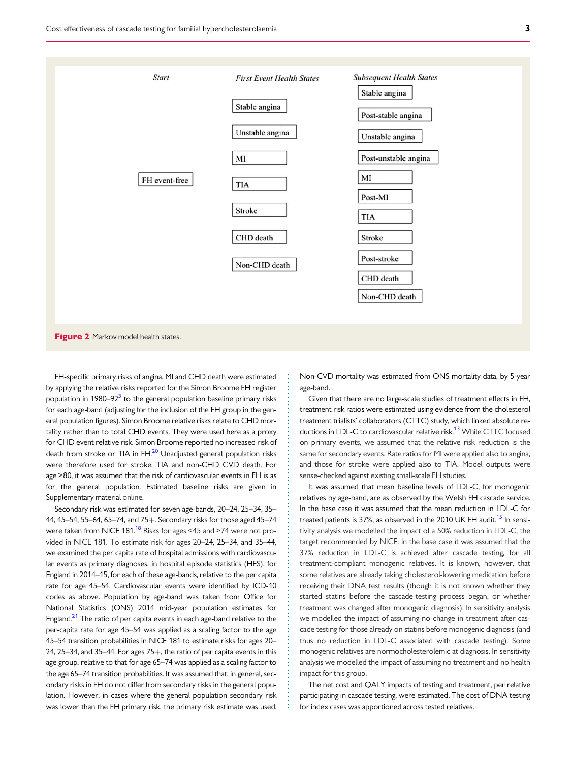<span id="page-2-0"></span>

. . . . . . . . . . . . . . . . . . . . . . . . . . . . . . . . . . . . . . . . . . . . . . . . . . . . . . . . . . . . . . . . . . . . . . . . . . . . . . . . . . . . . . . .

. FH-specific primary risks of angina, MI and CHD death were estimated by applying the relative risks reported for the Simon Broome FH register population in  $1980-92<sup>3</sup>$  to the general population baseline primary risks for each age-band (adjusting for the inclusion of the FH group in the general population figures). Simon Broome relative risks relate to CHD mortality rather than to total CHD events. They were used here as a proxy for CHD event relative risk. Simon Broome reported no increased risk of death from stroke or TIA in FH.<sup>20</sup> Unadjusted general population risks were therefore used for stroke, TIA and non-CHD CVD death. For age  $\geq$ 80, it was assumed that the risk of cardiovascular events in FH is as for the general population. Estimated baseline risks are given in Supplementary material online.

Secondary risk was estimated for seven age-bands, 20–24, 25–34, 35– 44, 45–54, 55–64, 65–74, and 75+. Secondary risks for those aged 45–74 were taken from NICE [18](#page-7-0)1.<sup>18</sup> Risks for ages <45 and >74 were not provided in NICE 181. To estimate risk for ages 20–24, 25–34, and 35–44, we examined the per capita rate of hospital admissions with cardiovascular events as primary diagnoses, in hospital episode statistics (HES), for England in 2014–15, for each of these age-bands, relative to the per capita rate for age 45–54. Cardiovascular events were identified by ICD-10 codes as above. Population by age-band was taken from Office for National Statistics (ONS) 2014 mid-year population estimates for England.<sup>21</sup> The ratio of per capita events in each age-band relative to the per-capita rate for age 45–54 was applied as a scaling factor to the age 45–54 transition probabilities in NICE 181 to estimate risks for ages 20– 24, 25–34, and 35–44. For ages  $75+$ , the ratio of per capita events in this age group, relative to that for age 65–74 was applied as a scaling factor to the age 65–74 transition probabilities. It was assumed that, in general, secondary risks in FH do not differ from secondary risks in the general population. However, in cases where the general population secondary risk was lower than the FH primary risk, the primary risk estimate was used.

Non-CVD mortality was estimated from ONS mortality data, by 5-year age-band.

Given that there are no large-scale studies of treatment effects in FH, treatment risk ratios were estimated using evidence from the cholesterol treatment trialists' collaborators (CTTC) study, which linked absolute re-ductions in LDL-C to cardiovascular relative risk.<sup>[13](#page-6-0)</sup> While CTTC focused on primary events, we assumed that the relative risk reduction is the same for secondary events. Rate ratios for MI were applied also to angina, and those for stroke were applied also to TIA. Model outputs were sense-checked against existing small-scale FH studies.

It was assumed that mean baseline levels of LDL-C, for monogenic relatives by age-band, are as observed by the Welsh FH cascade service. In the base case it was assumed that the mean reduction in LDL-C for treated patients is 37%, as observed in the 2010 UK FH audit.<sup>15</sup> In sensitivity analysis we modelled the impact of a 50% reduction in LDL-C, the target recommended by NICE. In the base case it was assumed that the 37% reduction in LDL-C is achieved after cascade testing, for all treatment-compliant monogenic relatives. It is known, however, that some relatives are already taking cholesterol-lowering medication before receiving their DNA test results (though it is not known whether they started statins before the cascade-testing process began, or whether treatment was changed after monogenic diagnosis). In sensitivity analysis we modelled the impact of assuming no change in treatment after cascade testing for those already on statins before monogenic diagnosis (and thus no reduction in LDL-C associated with cascade testing). Some monogenic relatives are normocholesterolemic at diagnosis. In sensitivity analysis we modelled the impact of assuming no treatment and no health impact for this group.

The net cost and QALY impacts of testing and treatment, per relative participating in cascade testing, were estimated. The cost of DNA testing for index cases was apportioned across tested relatives.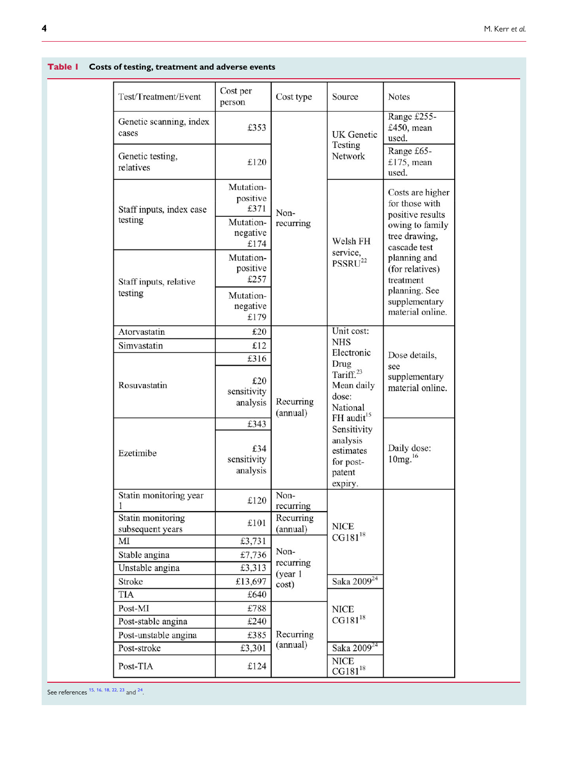## <span id="page-3-0"></span>Table 1 Costs of testing, treatment and adverse events

| Test/Treatment/Event                  | Cost per<br>person             | Cost type             | Source                                                                                                                                                                             | <b>Notes</b>                                              |  |
|---------------------------------------|--------------------------------|-----------------------|------------------------------------------------------------------------------------------------------------------------------------------------------------------------------------|-----------------------------------------------------------|--|
| Genetic scanning, index<br>cases      | £353                           |                       | <b>UK</b> Genetic<br>Testing<br>Network                                                                                                                                            | Range £255-<br>£450, mean<br>used.                        |  |
| Genetic testing,<br>relatives         | £120                           |                       |                                                                                                                                                                                    | Range £65-<br>£175, mean<br>used.                         |  |
| Staff inputs, index case              | Mutation-<br>positive<br>£371  | Non-                  |                                                                                                                                                                                    | Costs are higher<br>for those with<br>positive results    |  |
| testing                               | Mutation-<br>negative<br>£174  | recurring             | Welsh FH                                                                                                                                                                           | owing to family<br>tree drawing,<br>cascade test          |  |
| Staff inputs, relative                | Mutation-<br>positive<br>£257  |                       | service,<br>PSSRU <sup>22</sup>                                                                                                                                                    | planning and<br>(for relatives)<br>treatment              |  |
| testing                               | Mutation-<br>negative<br>£179  |                       |                                                                                                                                                                                    | planning. See<br>supplementary<br>material online.        |  |
| Atorvastatin                          | £20                            |                       | Unit cost:                                                                                                                                                                         |                                                           |  |
| Simvastatin                           | £12                            |                       | <b>NHS</b>                                                                                                                                                                         |                                                           |  |
| Rosuvastatin                          | £316<br>£20<br>sensitivity     |                       | Electronic<br>Drug<br>Tariff. <sup>23</sup><br>Mean daily<br>dose:<br>National<br>FH audit <sup>15</sup><br>Sensitivity<br>analysis<br>estimates<br>for post-<br>patent<br>expiry. | Dose details,<br>see<br>supplementary<br>material online. |  |
|                                       | analysis                       | Recurring<br>(annual) |                                                                                                                                                                                    |                                                           |  |
|                                       | £343                           |                       |                                                                                                                                                                                    |                                                           |  |
| Ezetimibe                             | £34<br>sensitivity<br>analysis |                       |                                                                                                                                                                                    | Daily dose:<br>10mg. <sup>16</sup>                        |  |
| Statin monitoring year<br>1           | £120                           | Non-<br>recurring     |                                                                                                                                                                                    |                                                           |  |
| Statin monitoring<br>subsequent years | £101                           | Recurring<br>(annual) | <b>NICE</b>                                                                                                                                                                        |                                                           |  |
| МI                                    | £3,731                         |                       | $CG181^{18}$                                                                                                                                                                       |                                                           |  |
| Stable angina                         | £7,736                         | Non-<br>recurring     |                                                                                                                                                                                    |                                                           |  |
| Unstable angina                       | £3,313                         | (year 1)              |                                                                                                                                                                                    |                                                           |  |
| Stroke                                | £13,697                        | cost)                 | Saka 2009 <sup>24</sup>                                                                                                                                                            |                                                           |  |
| <b>TIA</b>                            | £640                           |                       |                                                                                                                                                                                    |                                                           |  |
| Post-MI                               | £788                           |                       | <b>NICE</b>                                                                                                                                                                        |                                                           |  |
| Post-stable angina                    | £240                           |                       | $CG181^{18}$                                                                                                                                                                       |                                                           |  |
| Post-unstable angina                  | £385                           | Recurring             |                                                                                                                                                                                    |                                                           |  |
| Post-stroke                           | £3,301                         | (annual)              | Saka 2009 <sup>24</sup>                                                                                                                                                            |                                                           |  |
| Post-TIA                              | £124                           |                       | <b>NICE</b><br>$CG181^{18}$                                                                                                                                                        |                                                           |  |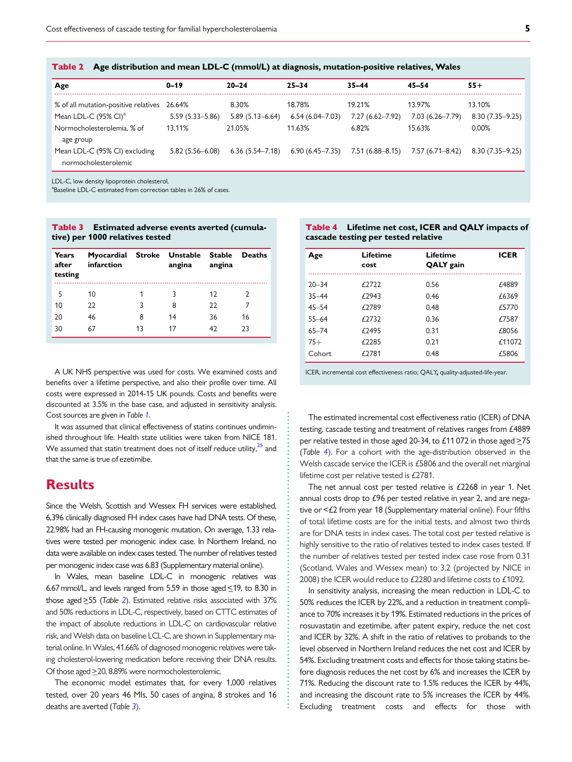| Tapie 4<br>Age distribution and mean LDL-C (mmovL) at diagnosis, mutation-positive relatives, vyales |                     |                              |                               |                               |                            |                               |  |
|------------------------------------------------------------------------------------------------------|---------------------|------------------------------|-------------------------------|-------------------------------|----------------------------|-------------------------------|--|
| Age                                                                                                  | $0 - 19$            | $20 - 24$                    | $25 - 34$                     | $35 - 44$                     | $45 - 54$                  | $55+$                         |  |
| % of all mutation-positive relatives 26.64%<br>Mean LDL-C (95% CI) <sup>a</sup>                      | $5.59(5.33 - 5.86)$ | 8.30%<br>$5.89(5.13 - 6.64)$ | 18.78%<br>$6.54(6.04 - 7.03)$ | 19.21%<br>$7.27(6.62 - 7.92)$ | 13.97%<br>7.03 (6.26-7.79) | 13.10%<br>$8.30(7.35 - 9.25)$ |  |
| Normocholesterolemia, % of<br>age group                                                              | 13.11%              | 21.05%                       | 11.63%                        | 6.82%                         | 15.63%                     | 0.00%                         |  |
| Mean LDL-C (95% CI) excluding<br>normocholesterolemic                                                | $5.82(5.56 - 6.08)$ | $6.36(5.54 - 7.18)$          | $6.90(6.45 - 7.35)$           | $7.51(6.88 - 8.15)$           | 7.57 (6.71–8.42)           | $8.30(7.35 - 9.25)$           |  |

. . . . . . . . . . . . . . . . . . . . . . . . . . . . . . . . . . . . . . . . . . . . . . . . . . . . . . . . . . . . . . . . . . . . . . . . . . . . . . .

|  | Table 2 Age distribution and mean LDL-C (mmol/L) at diagnosis, mutation-positive relatives, Wales |  |  |  |
|--|---------------------------------------------------------------------------------------------------|--|--|--|
|--|---------------------------------------------------------------------------------------------------|--|--|--|

LDL-C, low density lipoprotein cholesterol.

<sup>a</sup>Baseline LDL-C estimated from correction tables in 26% of cases.

#### Table 3 Estimated adverse events averted (cumulative) per 1000 relatives tested

| Years<br>after<br>testing | Myocardial Stroke Unstable Stable<br>infarction |    | angina | angina | Deaths |
|---------------------------|-------------------------------------------------|----|--------|--------|--------|
| 5                         | 10                                              |    | 3      | 12     |        |
| 10                        | 22                                              | ς  | 8      | 22     |        |
| 20                        | 46                                              | 8  | 14     | 36     | 16     |
| 30                        | 67                                              | 13 | 17     | 47     | つろ     |

A UK NHS perspective was used for costs. We examined costs and benefits over a lifetime perspective, and also their profile over time. All costs were expressed in 2014-15 UK pounds. Costs and benefits were discounted at 3.5% in the base case, and adjusted in sensitivity analysis. Cost sources are given in Table [1](#page-3-0).

It was assumed that clinical effectiveness of statins continues undiminished throughout life. Health state utilities were taken from NICE 181. We assumed that statin treatment does not of itself reduce utility, $25$  and that the same is true of ezetimibe.

## **Results**

Since the Welsh, Scottish and Wessex FH services were established, 6,396 clinically diagnosed FH index cases have had DNA tests. Of these, 22.98% had an FH-causing monogenic mutation. On average, 1.33 relatives were tested per monogenic index case. In Northern Ireland, no data were available on index cases tested. The number of relatives tested per monogenic index case was 6.83 (Supplementary material online).

In Wales, mean baseline LDL-C in monogenic relatives was 6.67 mmol/L, and levels ranged from 5.59 in those aged  $\leq$ 19, to 8.30 in those aged  $\geq$ 55 (Table 2). Estimated relative risks associated with 37% and 50% reductions in LDL-C, respectively, based on CTTC estimates of the impact of absolute reductions in LDL-C on cardiovascular relative risk, and Welsh data on baseline LCL-C, are shown in Supplementary material online. In Wales, 41.66% of diagnosed monogenic relatives were taking cholesterol-lowering medication before receiving their DNA results. Of those aged > 20, 8.89% were normocholesterolemic.

The economic model estimates that, for every 1,000 relatives tested, over 20 years 46 MIs, 50 cases of angina, 8 strokes and 16 deaths are averted (Table 3).

#### Table 4 Lifetime net cost, ICER and QALY impacts of cascade testing per tested relative

| Age       | Lifetime<br>cost | Lifetime<br>QALY gain | <b>ICER</b> |
|-----------|------------------|-----------------------|-------------|
| $20 - 34$ | f7772            | 0.56                  | £4889       |
| $35 - 44$ | f7943            | 0.46                  | £6369       |
| $45 - 54$ | f2789            | 0.48                  | £5770       |
| $55 - 64$ | £2732            | 0.36                  | £7587       |
| $65 - 74$ | f7495            | 0.31                  | £8056       |
| $75+$     | £2285            | 0.21                  | £11072      |
| Cohort    | £2781            | 0.48                  | £5806       |

ICER, incremental cost effectiveness ratio; QALY, quality-adjusted-life-year.

The estimated incremental cost effectiveness ratio (ICER) of DNA testing, cascade testing and treatment of relatives ranges from £4889 per relative tested in those aged 20-34, to £11 072 in those aged  $\geq$ 75 (Table 4). For a cohort with the age-distribution observed in the Welsh cascade service the ICER is £5806 and the overall net marginal lifetime cost per relative tested is £2781.

The net annual cost per tested relative is £2268 in year 1. Net annual costs drop to £96 per tested relative in year 2, and are negative or <£2 from year 18 (Supplementary material online). Four fifths of total lifetime costs are for the initial tests, and almost two thirds are for DNA tests in index cases. The total cost per tested relative is highly sensitive to the ratio of relatives tested to index cases tested. If the number of relatives tested per tested index case rose from 0.31 (Scotland, Wales and Wessex mean) to 3.2 (projected by NICE in 2008) the ICER would reduce to £2280 and lifetime costs to £1092.

In sensitivity analysis, increasing the mean reduction in LDL-C to 50% reduces the ICER by 22%, and a reduction in treatment compliance to 70% increases it by 19%. Estimated reductions in the prices of rosuvastatin and ezetimibe, after patent expiry, reduce the net cost and ICER by 32%. A shift in the ratio of relatives to probands to the level observed in Northern Ireland reduces the net cost and ICER by 54%. Excluding treatment costs and effects for those taking statins before diagnosis reduces the net cost by 6% and increases the ICER by 71%. Reducing the discount rate to 1.5% reduces the ICER by 44%, and increasing the discount rate to 5% increases the ICER by 44%. Excluding treatment costs and effects for those with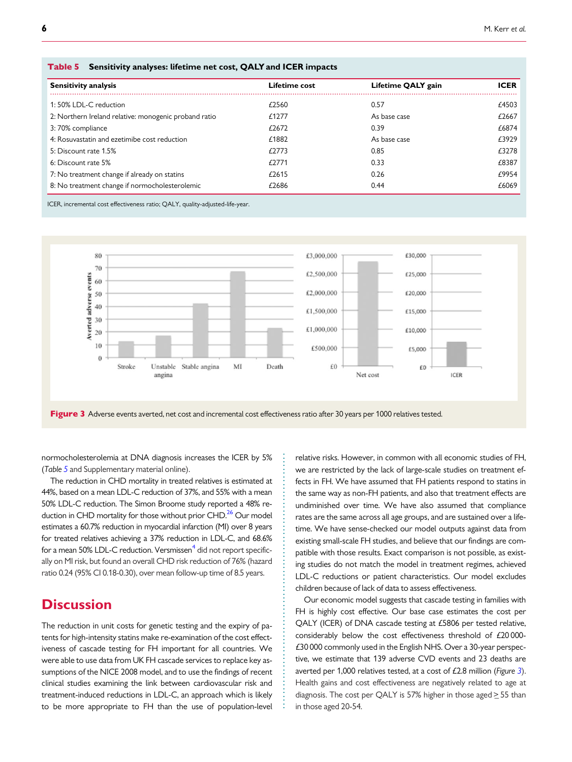|  |  |  | Table 5 Sensitivity analyses: lifetime net cost, QALY and ICER impacts |  |  |
|--|--|--|------------------------------------------------------------------------|--|--|
|--|--|--|------------------------------------------------------------------------|--|--|

| <b>Sensitivity analysis</b>                           | Lifetime cost | Lifetime QALY gain | <b>ICER</b> |
|-------------------------------------------------------|---------------|--------------------|-------------|
| 1:50% LDL-C reduction                                 | £2560         | 0.57               | £4503       |
| 2: Northern Ireland relative: monogenic proband ratio | f1277         | As base case       | £2667       |
| 3:70% compliance                                      | £2672         | 0.39               | £6874       |
| 4: Rosuvastatin and ezetimibe cost reduction          | £1882         | As base case       | £3929       |
| 5: Discount rate 1.5%                                 | £2773         | 0.85               | £3278       |
| 6: Discount rate 5%                                   | $f$ 2771      | 0.33               | £8387       |
| 7: No treatment change if already on statins          | £2615         | 0.26               | £9954       |
| 8: No treatment change if normocholesterolemic        | £2686         | 0.44               | £6069       |

ICER, incremental cost effectiveness ratio; QALY, quality-adjusted-life-year.



. . . . . . . . . . . . . . . . . . . . . . . . . . . . . . . . . . . . . . . . . . . . . . . . . . . . . . . . . . . . . . . . . . .

. normocholesterolemia at DNA diagnosis increases the ICER by 5% (Table 5 and Supplementary material online).

The reduction in CHD mortality in treated relatives is estimated at 44%, based on a mean LDL-C reduction of 37%, and 55% with a mean 50% LDL-C reduction. The Simon Broome study reported a 48% reduction in CHD mortality for those without prior CHD.<sup>26</sup> Our model estimates a 60.7% reduction in myocardial infarction (MI) over 8 years for treated relatives achieving a 37% reduction in LDL-C, and 68.6% for a mean 50% LDL-C reduction. Versmissen<sup>4</sup> did not report specifically on MI risk, but found an overall CHD risk reduction of 76% (hazard ratio 0.24 (95% CI 0.18-0.30), over mean follow-up time of 8.5 years.

## **Discussion**

The reduction in unit costs for genetic testing and the expiry of patents for high-intensity statins make re-examination of the cost effectiveness of cascade testing for FH important for all countries. We were able to use data from UK FH cascade services to replace key assumptions of the NICE 2008 model, and to use the findings of recent clinical studies examining the link between cardiovascular risk and treatment-induced reductions in LDL-C, an approach which is likely to be more appropriate to FH than the use of population-level relative risks. However, in common with all economic studies of FH, we are restricted by the lack of large-scale studies on treatment effects in FH. We have assumed that FH patients respond to statins in the same way as non-FH patients, and also that treatment effects are undiminished over time. We have also assumed that compliance rates are the same across all age groups, and are sustained over a lifetime. We have sense-checked our model outputs against data from existing small-scale FH studies, and believe that our findings are compatible with those results. Exact comparison is not possible, as existing studies do not match the model in treatment regimes, achieved LDL-C reductions or patient characteristics. Our model excludes children because of lack of data to assess effectiveness.

Our economic model suggests that cascade testing in families with FH is highly cost effective. Our base case estimates the cost per QALY (ICER) of DNA cascade testing at £5806 per tested relative, considerably below the cost effectiveness threshold of £20 000- £30 000 commonly used in the English NHS. Over a 30-year perspective, we estimate that 139 adverse CVD events and 23 deaths are averted per 1,000 relatives tested, at a cost of £2.8 million (Figure 3). Health gains and cost effectiveness are negatively related to age at diagnosis. The cost per QALY is 57% higher in those aged  $\geq$  55 than in those aged 20-54.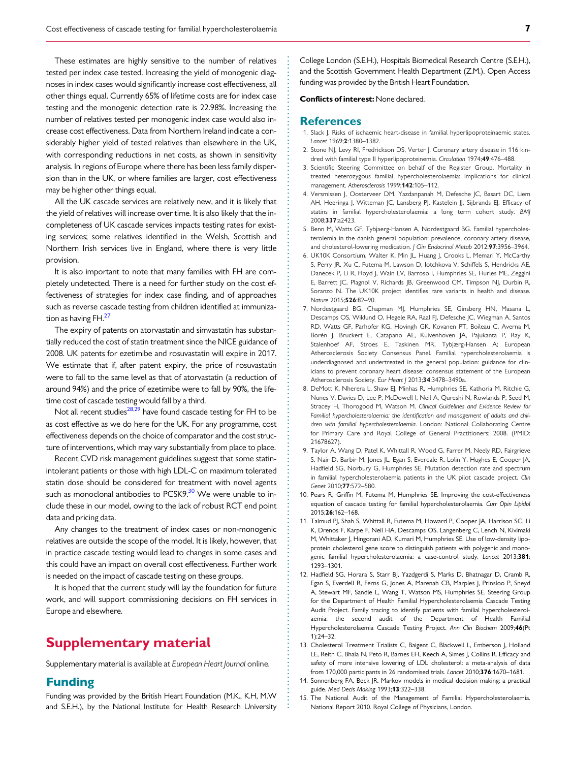<span id="page-6-0"></span>. These estimates are highly sensitive to the number of relatives tested per index case tested. Increasing the yield of monogenic diagnoses in index cases would significantly increase cost effectiveness, all other things equal. Currently 65% of lifetime costs are for index case testing and the monogenic detection rate is 22.98%. Increasing the number of relatives tested per monogenic index case would also increase cost effectiveness. Data from Northern Ireland indicate a considerably higher yield of tested relatives than elsewhere in the UK, with corresponding reductions in net costs, as shown in sensitivity analysis. In regions of Europe where there has been less family dispersion than in the UK, or where families are larger, cost effectiveness may be higher other things equal.

All the UK cascade services are relatively new, and it is likely that the yield of relatives will increase over time. It is also likely that the incompleteness of UK cascade services impacts testing rates for existing services; some relatives identified in the Welsh, Scottish and Northern Irish services live in England, where there is very little provision.

It is also important to note that many families with FH are completely undetected. There is a need for further study on the cost effectiveness of strategies for index case finding, and of approaches such as reverse cascade testing from children identified at immunization as having FH.<sup>27</sup>

The expiry of patents on atorvastatin and simvastatin has substantially reduced the cost of statin treatment since the NICE guidance of 2008. UK patents for ezetimibe and rosuvastatin will expire in 2017. We estimate that if, after patent expiry, the price of rosuvastatin were to fall to the same level as that of atorvastatin (a reduction of around 94%) and the price of ezetimibe were to fall by 90%, the lifetime cost of cascade testing would fall by a third.

Not all recent studies $^{28,29}$  have found cascade testing for FH to be as cost effective as we do here for the UK. For any programme, cost effectiveness depends on the choice of comparator and the cost structure of interventions, which may vary substantially from place to place.

Recent CVD risk management guidelines suggest that some statinintolerant patients or those with high LDL-C on maximum tolerated statin dose should be considered for treatment with novel agents such as monoclonal antibodies to PCSK9.<sup>30</sup> We were unable to include these in our model, owing to the lack of robust RCT end point data and pricing data.

Any changes to the treatment of index cases or non-monogenic relatives are outside the scope of the model. It is likely, however, that in practice cascade testing would lead to changes in some cases and this could have an impact on overall cost effectiveness. Further work is needed on the impact of cascade testing on these groups.

It is hoped that the current study will lay the foundation for future work, and will support commissioning decisions on FH services in Europe and elsewhere.

## Supplementary material

Supplementary material is available at European Heart Journal online.

### Funding

Funding was provided by the British Heart Foundation (M.K., K.H, M.W and S.E.H.), by the National Institute for Health Research University

College London (S.E.H.), Hospitals Biomedical Research Centre (S.E.H.), and the Scottish Government Health Department (Z.M.). Open Access funding was provided by the British Heart Foundation.

Conflicts of interest: None declared.

### References

- 1. Slack J. Risks of ischaemic heart-disease in familial hyperlipoproteinaemic states. Lancet 1969;2:1380–1382.
- 2. Stone NJ, Levy RI, Fredrickson DS, Verter J. Coronary artery disease in 116 kindred with familial type II hyperlipoproteinemia. Circulation 1974;49:476-488.
- 3. Scientific Steering Committee on behalf of the Register Group. Mortality in treated heterozygous familial hypercholesterolaemia: implications for clinical management. Atherosclerosis 1999;142:105-112.
- 4. Versmissen J, Oosterveer DM, Yazdanpanah M, Defesche JC, Basart DC, Liem AH, Heeringa J, Witteman JC, Lansberg PJ, Kastelein JJ, Sijbrands EJ. Efficacy of statins in familial hypercholesterolaemia: a long term cohort study. BMJ 2008;337:a2423.
- 5. Benn M, Watts GF, Tybjaerg-Hansen A, Nordestgaard BG. Familial hypercholesterolemia in the danish general population: prevalence, coronary artery disease, and cholesterol-lowering medication. J Clin Endocrinol Metab 2012;97:3956-3964.
- 6. UK10K Consortium, Walter K, Min JL, Huang J, Crooks L, Memari Y, McCarthy S, Perry JR, Xu C, Futema M, Lawson D, Iotchkova V, Schiffels S, Hendricks AE, Danecek P, Li R, Floyd J, Wain LV, Barroso I, Humphries SE, Hurles ME, Zeggini E, Barrett JC, Plagnol V, Richards JB, Greenwood CM, Timpson NJ, Durbin R, Soranzo N. The UK10K project identifies rare variants in health and disease. Nature 2015;526:82–90.
- 7. Nordestgaard BG, Chapman MJ, Humphries SE, Ginsberg HN, Masana L, Descamps OS, Wiklund O, Hegele RA, Raal FJ, Defesche JC, Wiegman A, Santos RD, Watts GF, Parhofer KG, Hovingh GK, Kovanen PT, Boileau C, Averna M, Borén J, Bruckert E, Catapano AL, Kuivenhoven JA, Pajukanta P, Ray K, Stalenhoef AF, Stroes E, Taskinen MR, Tybjærg-Hansen A; European Atherosclerosis Society Consensus Panel. Familial hypercholesterolaemia is underdiagnosed and undertreated in the general population: guidance for clinicians to prevent coronary heart disease: consensus statement of the European Atherosclerosis Society. Eur Heart J 2013;34:3478-3490a.
- 8. DeMott K, Nherera L, Shaw EJ, Minhas R, Humphries SE, Kathoria M, Ritchie G, Nunes V, Davies D, Lee P, McDowell I, Neil A, Qureshi N, Rowlands P, Seed M, Stracey H, Thorogood M, Watson M. Clinical Guidelines and Evidence Review for Familial hypercholesterolaemia: the identification and management of adults and children with familial hypercholesterolaemia. London: National Collaborating Centre for Primary Care and Royal College of General Practitioners; 2008. (PMID: 21678627).
- 9. Taylor A, Wang D, Patel K, Whittall R, Wood G, Farrer M, Neely RD, Fairgrieve S, Nair D, Barbir M, Jones JL, Egan S, Everdale R, Lolin Y, Hughes E, Cooper JA, Hadfield SG, Norbury G, Humphries SE. Mutation detection rate and spectrum in familial hypercholesterolaemia patients in the UK pilot cascade project. Clin Genet 2010;77:572–580.
- 10. Pears R, Griffin M, Futema M, Humphries SE. Improving the cost-effectiveness equation of cascade testing for familial hypercholesterolaemia. Curr Opin Lipidol 2015;26:162–168.
- 11. Talmud PJ, Shah S, Whittall R, Futema M, Howard P, Cooper JA, Harrison SC, Li K, Drenos F, Karpe F, Neil HA, Descamps OS, Langenberg C, Lench N, Kivimaki M, Whittaker J, Hingorani AD, Kumari M, Humphries SE. Use of low-density lipoprotein cholesterol gene score to distinguish patients with polygenic and monogenic familial hypercholesterolaemia: a case-control study. Lancet 2013;381: 1293–1301.
- 12. Hadfield SG, Horara S, Starr BJ, Yazdgerdi S, Marks D, Bhatnagar D, Cramb R, Egan S, Everdell R, Ferns G, Jones A, Marenah CB, Marples J, Prinsloo P, Sneyd A, Stewart MF, Sandle L, Wang T, Watson MS, Humphries SE. Steering Group for the Department of Health Familial Hypercholesterolaemia Cascade Testing Audit Project. Family tracing to identify patients with familial hypercholesterolaemia: the second audit of the Department of Health Familial Hypercholesterolaemia Cascade Testing Project. Ann Clin Biochem 2009;46(Pt 1):24–32.
- 13. Cholesterol Treatment Trialists C, Baigent C, Blackwell L, Emberson J, Holland LE, Reith C, Bhala N, Peto R, Barnes EH, Keech A, Simes J, Collins R. Efficacy and safety of more intensive lowering of LDL cholesterol: a meta-analysis of data from 170,000 participants in 26 randomised trials. Lancet 2010;376:1670–1681.
- 14. Sonnenberg FA, Beck JR. Markov models in medical decision making: a practical guide. Med Decis Making 1993;13:322-338.
- 15. The National Audit of the Management of Familial Hypercholesterolaemia. National Report 2010. Royal College of Physicians, London.

. . . . . . . . . . . . . . . . . . . . . . . . . . . . . . . . . . . . . . . . . . . . . . . . . . . . . . . . . . . . . . . . . . . . . . . . . . . . . . . . . . . . . . . . . . . . . . . . . . . . . . . . . . . . . . . . . . . . . . . . . . . . . . . . . . . . . . . . . . . . . . . . . . . . . . . . . . . . . . . . . . . . . . . . . . . .